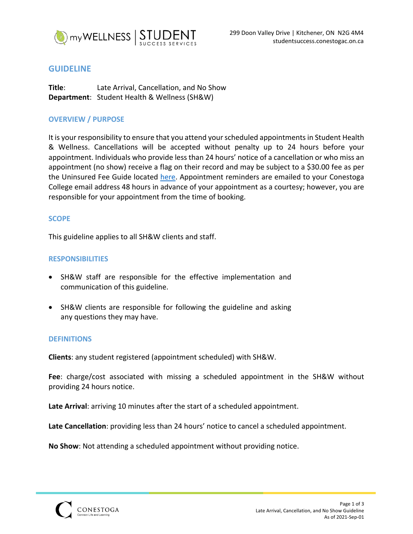

# **GUIDELINE**

**Title**: Late Arrival, Cancellation, and No Show **Department**: Student Health & Wellness (SH&W)

# **OVERVIEW / PURPOSE**

It is your responsibility to ensure that you attend your scheduled appointments in Student Health & Wellness. Cancellations will be accepted without penalty up to 24 hours before your appointment. Individuals who provide less than 24 hours' notice of a cancellation or who miss an appointment (no show) receive a flag on their record and may be subject to a \$30.00 fee as per the Uninsured Fee Guide located here. Appointment reminders are emailed to your Conestoga College email address 48 hours in advance of your appointment as a courtesy; however, you are responsible for your appointment from the time of booking.

## **SCOPE**

This guideline applies to all SH&W clients and staff.

## **RESPONSIBILITIES**

- SH&W staff are responsible for the effective implementation and communication of this guideline.
- SH&W clients are responsible for following the guideline and asking any questions they may have.

### **DEFINITIONS**

**Clients**: any student registered (appointment scheduled) with SH&W.

**Fee**: charge/cost associated with missing a scheduled appointment in the SH&W without providing 24 hours notice.

**Late Arrival**: arriving 10 minutes after the start of a scheduled appointment.

**Late Cancellation**: providing less than 24 hours' notice to cancel a scheduled appointment.

**No Show**: Not attending a scheduled appointment without providing notice.

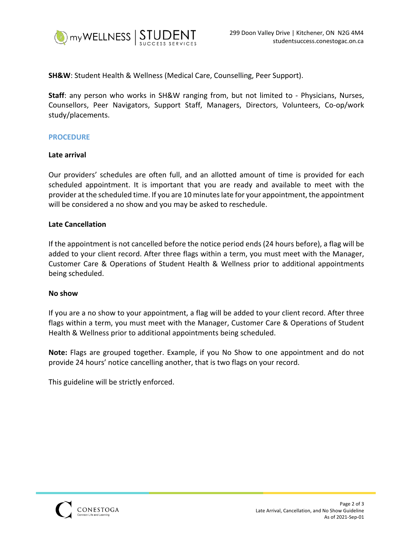

**SH&W**: Student Health & Wellness (Medical Care, Counselling, Peer Support).

**Staff**: any person who works in SH&W ranging from, but not limited to - Physicians, Nurses, Counsellors, Peer Navigators, Support Staff, Managers, Directors, Volunteers, Co-op/work study/placements.

### **PROCEDURE**

## **Late arrival**

Our providers' schedules are often full, and an allotted amount of time is provided for each scheduled appointment. It is important that you are ready and available to meet with the provider at the scheduled time. If you are 10 minutes late for your appointment, the appointment will be considered a no show and you may be asked to reschedule.

### **Late Cancellation**

If the appointment is not cancelled before the notice period ends (24 hours before), a flag will be added to your client record. After three flags within a term, you must meet with the Manager, Customer Care & Operations of Student Health & Wellness prior to additional appointments being scheduled.

### **No show**

If you are a no show to your appointment, a flag will be added to your client record. After three flags within a term, you must meet with the Manager, Customer Care & Operations of Student Health & Wellness prior to additional appointments being scheduled.

**Note:** Flags are grouped together. Example, if you No Show to one appointment and do not provide 24 hours' notice cancelling another, that is two flags on your record.

This guideline will be strictly enforced.